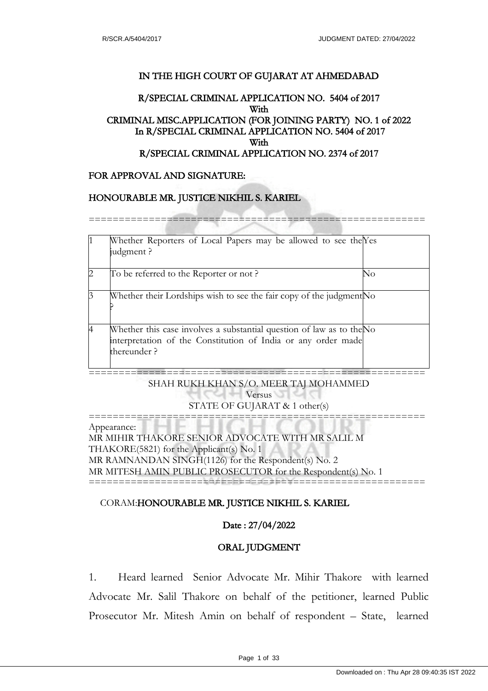## IN THE HIGH COURT OF GUJARAT AT AHMEDABAD

# R/SPECIAL CRIMINAL APPLICATION NO. 5404 of 2017 With CRIMINAL MISC.APPLICATION (FOR JOINING PARTY) NO. 1 of 2022 In R/SPECIAL CRIMINAL APPLICATION NO. 5404 of 2017 With R/SPECIAL CRIMINAL APPLICATION NO. 2374 of 2017

# FOR APPROVAL AND SIGNATURE:

#### HONOURABLE MR. JUSTICE NIKHIL S. KARIEL

========================================================

| $\vert$ 1      | Whether Reporters of Local Papers may be allowed to see the Yes<br>judgment?                                                                          |    |
|----------------|-------------------------------------------------------------------------------------------------------------------------------------------------------|----|
| $\overline{2}$ | To be referred to the Reporter or not?                                                                                                                | No |
| $\vert$ 3      | Whether their Lordships wish to see the fair copy of the judgment No                                                                                  |    |
| 14             | Whether this case involves a substantial question of law as to the No<br>interpretation of the Constitution of India or any order made<br>thereunder? |    |

======================================================== SHAH RUKH KHAN S/O. MEER TAJ MOHAMMED

**Versus** STATE OF GUJARAT & 1 other(s) ========================================================

Appearance: MR MIHIR THAKORE SENIOR ADVOCATE WITH MR SALIL M THAKORE(5821) for the Applicant(s) No. 1 MR RAMNANDAN SINGH(1126) for the Respondent(s) No. 2 MR MITESH AMIN PUBLIC PROSECUTOR for the Respondent(s) No. 1 ========================================================

#### CORAM:HONOURABLE MR. JUSTICE NIKHIL S. KARIEL

#### Date : 27/04/2022

# ORAL JUDGMENT

1. Heard learned Senior Advocate Mr. Mihir Thakore with learned Advocate Mr. Salil Thakore on behalf of the petitioner, learned Public Prosecutor Mr. Mitesh Amin on behalf of respondent – State, learned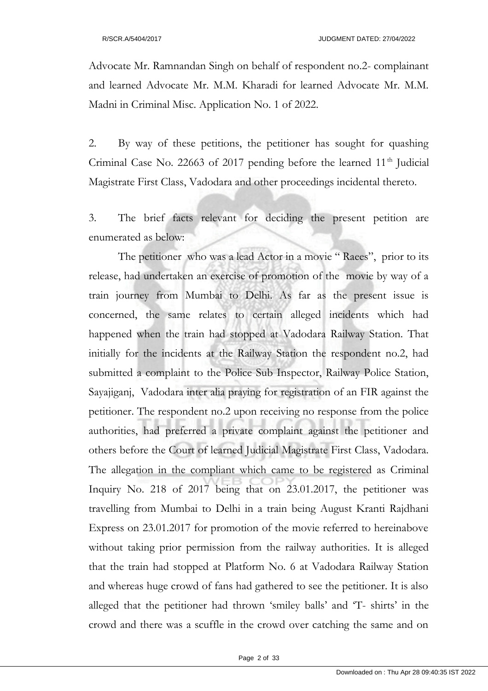Advocate Mr. Ramnandan Singh on behalf of respondent no.2- complainant and learned Advocate Mr. M.M. Kharadi for learned Advocate Mr. M.M. Madni in Criminal Misc. Application No. 1 of 2022.

2. By way of these petitions, the petitioner has sought for quashing Criminal Case No. 22663 of 2017 pending before the learned  $11<sup>th</sup>$  Judicial Magistrate First Class, Vadodara and other proceedings incidental thereto.

3. The brief facts relevant for deciding the present petition are enumerated as below:

The petitioner who was a lead Actor in a movie "Raees", prior to its release, had undertaken an exercise of promotion of the movie by way of a train journey from Mumbai to Delhi. As far as the present issue is concerned, the same relates to certain alleged incidents which had happened when the train had stopped at Vadodara Railway Station. That initially for the incidents at the Railway Station the respondent no.2, had submitted a complaint to the Police Sub Inspector, Railway Police Station, Sayajiganj, Vadodara inter alia praying for registration of an FIR against the petitioner. The respondent no.2 upon receiving no response from the police authorities, had preferred a private complaint against the petitioner and others before the Court of learned Judicial Magistrate First Class, Vadodara. The allegation in the compliant which came to be registered as Criminal Inquiry No. 218 of 2017 being that on 23.01.2017, the petitioner was travelling from Mumbai to Delhi in a train being August Kranti Rajdhani Express on 23.01.2017 for promotion of the movie referred to hereinabove without taking prior permission from the railway authorities. It is alleged that the train had stopped at Platform No. 6 at Vadodara Railway Station and whereas huge crowd of fans had gathered to see the petitioner. It is also alleged that the petitioner had thrown 'smiley balls' and 'T- shirts' in the crowd and there was a scuffle in the crowd over catching the same and on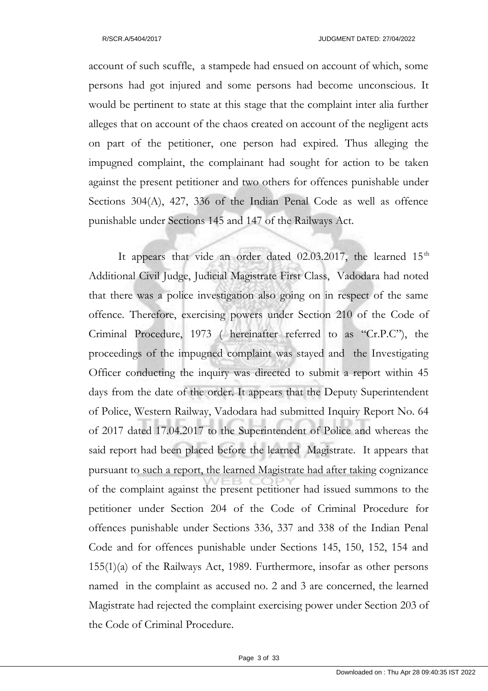account of such scuffle, a stampede had ensued on account of which, some persons had got injured and some persons had become unconscious. It would be pertinent to state at this stage that the complaint inter alia further alleges that on account of the chaos created on account of the negligent acts on part of the petitioner, one person had expired. Thus alleging the impugned complaint, the complainant had sought for action to be taken against the present petitioner and two others for offences punishable under Sections 304(A), 427, 336 of the Indian Penal Code as well as offence punishable under Sections 145 and 147 of the Railways Act.

It appears that vide an order dated  $02.03.2017$ , the learned  $15<sup>th</sup>$ Additional Civil Judge, Judicial Magistrate First Class, Vadodara had noted that there was a police investigation also going on in respect of the same offence. Therefore, exercising powers under Section 210 of the Code of Criminal Procedure, 1973 ( hereinafter referred to as "Cr.P.C"), the proceedings of the impugned complaint was stayed and the Investigating Officer conducting the inquiry was directed to submit a report within 45 days from the date of the order. It appears that the Deputy Superintendent of Police, Western Railway, Vadodara had submitted Inquiry Report No. 64 of 2017 dated 17.04.2017 to the Superintendent of Police and whereas the said report had been placed before the learned Magistrate. It appears that pursuant to such a report, the learned Magistrate had after taking cognizance of the complaint against the present petitioner had issued summons to the petitioner under Section 204 of the Code of Criminal Procedure for offences punishable under Sections 336, 337 and 338 of the Indian Penal Code and for offences punishable under Sections 145, 150, 152, 154 and 155(1)(a) of the Railways Act, 1989. Furthermore, insofar as other persons named in the complaint as accused no. 2 and 3 are concerned, the learned Magistrate had rejected the complaint exercising power under Section 203 of the Code of Criminal Procedure.

Page 3 of 33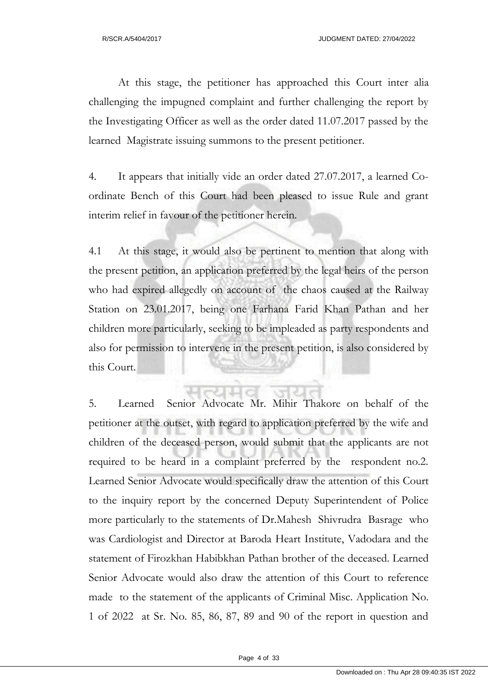At this stage, the petitioner has approached this Court inter alia challenging the impugned complaint and further challenging the report by the Investigating Officer as well as the order dated 11.07.2017 passed by the learned Magistrate issuing summons to the present petitioner.

4. It appears that initially vide an order dated 27.07.2017, a learned Coordinate Bench of this Court had been pleased to issue Rule and grant interim relief in favour of the petitioner herein.

4.1 At this stage, it would also be pertinent to mention that along with the present petition, an application preferred by the legal heirs of the person who had expired allegedly on account of the chaos caused at the Railway Station on 23.01.2017, being one Farhana Farid Khan Pathan and her children more particularly, seeking to be impleaded as party respondents and also for permission to intervene in the present petition, is also considered by this Court.

5. Learned Senior Advocate Mr. Mihir Thakore on behalf of the petitioner at the outset, with regard to application preferred by the wife and children of the deceased person, would submit that the applicants are not required to be heard in a complaint preferred by the respondent no.2. Learned Senior Advocate would specifically draw the attention of this Court to the inquiry report by the concerned Deputy Superintendent of Police more particularly to the statements of Dr.Mahesh Shivrudra Basrage who was Cardiologist and Director at Baroda Heart Institute, Vadodara and the statement of Firozkhan Habibkhan Pathan brother of the deceased. Learned Senior Advocate would also draw the attention of this Court to reference made to the statement of the applicants of Criminal Misc. Application No. 1 of 2022 at Sr. No. 85, 86, 87, 89 and 90 of the report in question and

Page 4 of 33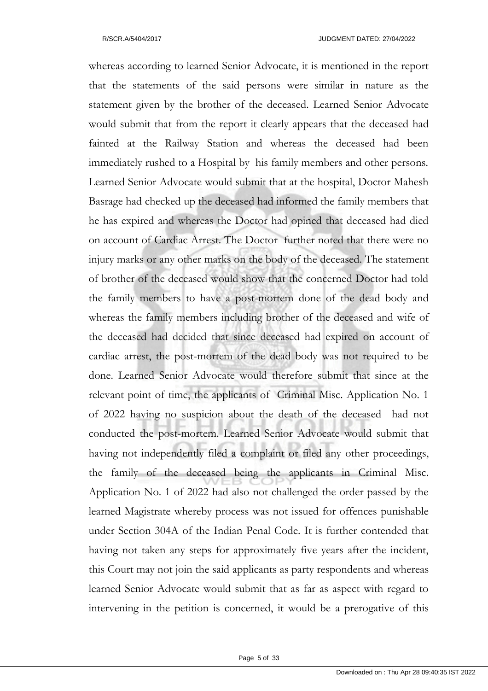whereas according to learned Senior Advocate, it is mentioned in the report that the statements of the said persons were similar in nature as the statement given by the brother of the deceased. Learned Senior Advocate would submit that from the report it clearly appears that the deceased had fainted at the Railway Station and whereas the deceased had been immediately rushed to a Hospital by his family members and other persons. Learned Senior Advocate would submit that at the hospital, Doctor Mahesh Basrage had checked up the deceased had informed the family members that he has expired and whereas the Doctor had opined that deceased had died on account of Cardiac Arrest. The Doctor further noted that there were no injury marks or any other marks on the body of the deceased. The statement of brother of the deceased would show that the concerned Doctor had told the family members to have a post-mortem done of the dead body and whereas the family members including brother of the deceased and wife of the deceased had decided that since deceased had expired on account of cardiac arrest, the post-mortem of the dead body was not required to be done. Learned Senior Advocate would therefore submit that since at the relevant point of time, the applicants of Criminal Misc. Application No. 1 of 2022 having no suspicion about the death of the deceased had not conducted the post-mortem. Learned Senior Advocate would submit that having not independently filed a complaint or filed any other proceedings, the family of the deceased being the applicants in Criminal Misc. Application No. 1 of 2022 had also not challenged the order passed by the learned Magistrate whereby process was not issued for offences punishable under Section 304A of the Indian Penal Code. It is further contended that having not taken any steps for approximately five years after the incident, this Court may not join the said applicants as party respondents and whereas learned Senior Advocate would submit that as far as aspect with regard to intervening in the petition is concerned, it would be a prerogative of this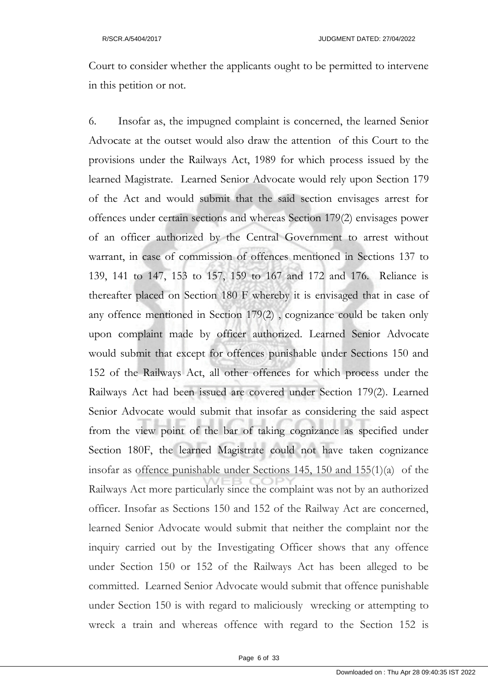Court to consider whether the applicants ought to be permitted to intervene in this petition or not.

6. Insofar as, the impugned complaint is concerned, the learned Senior Advocate at the outset would also draw the attention of this Court to the provisions under the Railways Act, 1989 for which process issued by the learned Magistrate. Learned Senior Advocate would rely upon Section 179 of the Act and would submit that the said section envisages arrest for offences under certain sections and whereas Section 179(2) envisages power of an officer authorized by the Central Government to arrest without warrant, in case of commission of offences mentioned in Sections 137 to 139, 141 to 147, 153 to 157, 159 to 167 and 172 and 176. Reliance is thereafter placed on Section 180 F whereby it is envisaged that in case of any offence mentioned in Section 179(2) , cognizance could be taken only upon complaint made by officer authorized. Learned Senior Advocate would submit that except for offences punishable under Sections 150 and 152 of the Railways Act, all other offences for which process under the Railways Act had been issued are covered under Section 179(2). Learned Senior Advocate would submit that insofar as considering the said aspect from the view point of the bar of taking cognizance as specified under Section 180F, the learned Magistrate could not have taken cognizance insofar as offence punishable under Sections 145, 150 and 155(1)(a) of the Railways Act more particularly since the complaint was not by an authorized officer. Insofar as Sections 150 and 152 of the Railway Act are concerned, learned Senior Advocate would submit that neither the complaint nor the inquiry carried out by the Investigating Officer shows that any offence under Section 150 or 152 of the Railways Act has been alleged to be committed. Learned Senior Advocate would submit that offence punishable under Section 150 is with regard to maliciously wrecking or attempting to wreck a train and whereas offence with regard to the Section 152 is

Page 6 of 33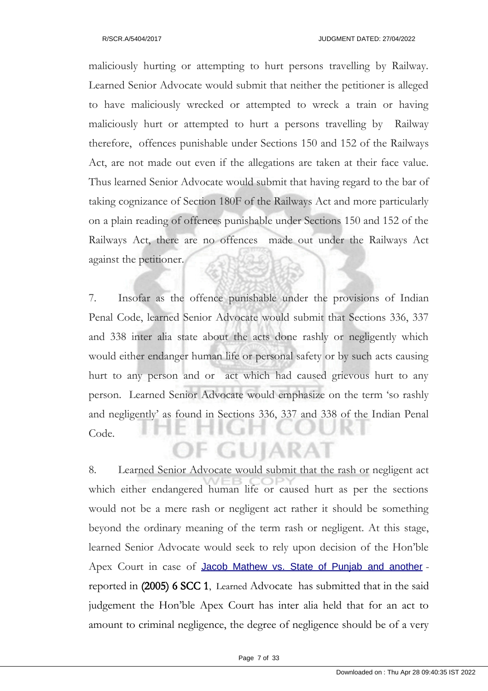maliciously hurting or attempting to hurt persons travelling by Railway. Learned Senior Advocate would submit that neither the petitioner is alleged to have maliciously wrecked or attempted to wreck a train or having maliciously hurt or attempted to hurt a persons travelling by Railway therefore, offences punishable under Sections 150 and 152 of the Railways Act, are not made out even if the allegations are taken at their face value. Thus learned Senior Advocate would submit that having regard to the bar of taking cognizance of Section 180F of the Railways Act and more particularly on a plain reading of offences punishable under Sections 150 and 152 of the Railways Act, there are no offences made out under the Railways Act against the petitioner.

7. Insofar as the offence punishable under the provisions of Indian Penal Code, learned Senior Advocate would submit that Sections 336, 337 and 338 inter alia state about the acts done rashly or negligently which would either endanger human life or personal safety or by such acts causing hurt to any person and or act which had caused grievous hurt to any person. Learned Senior Advocate would emphasize on the term 'so rashly and negligently' as found in Sections 336, 337 and 338 of the Indian Penal Code. **F GUIARAT** 

8. Learned Senior Advocate would submit that the rash or negligent act which either endangered human life or caused hurt as per the sections would not be a mere rash or negligent act rather it should be something beyond the ordinary meaning of the term rash or negligent. At this stage, learned Senior Advocate would seek to rely upon decision of the Hon'ble Apex Court in case of Jacob Mathew vs. State of Punjab and another reported in (2005) 6 SCC 1, Learned Advocate has submitted that in the said judgement the Hon'ble Apex Court has inter alia held that for an act to amount to criminal negligence, the degree of negligence should be of a very

Page 7 of 33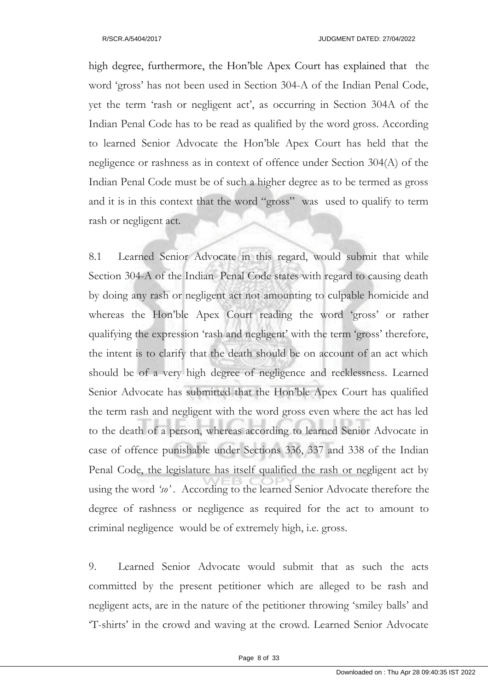high degree, furthermore, the Hon'ble Apex Court has explained that the word 'gross' has not been used in Section 304-A of the Indian Penal Code, yet the term 'rash or negligent act', as occurring in Section 304A of the Indian Penal Code has to be read as qualified by the word gross. According to learned Senior Advocate the Hon'ble Apex Court has held that the negligence or rashness as in context of offence under Section 304(A) of the Indian Penal Code must be of such a higher degree as to be termed as gross and it is in this context that the word "gross" was used to qualify to term rash or negligent act.

8.1 Learned Senior Advocate in this regard, would submit that while Section 304-A of the Indian Penal Code states with regard to causing death by doing any rash or negligent act not amounting to culpable homicide and whereas the Hon'ble Apex Court reading the word 'gross' or rather qualifying the expression 'rash and negligent' with the term 'gross' therefore, the intent is to clarify that the death should be on account of an act which should be of a very high degree of negligence and recklessness. Learned Senior Advocate has submitted that the Hon'ble Apex Court has qualified the term rash and negligent with the word gross even where the act has led to the death of a person, whereas according to learned Senior Advocate in case of offence punishable under Sections 336, 337 and 338 of the Indian Penal Code, the legislature has itself qualified the rash or negligent act by using the word *'so' .* According to the learned Senior Advocate therefore the degree of rashness or negligence as required for the act to amount to criminal negligence would be of extremely high, i.e. gross.

9. Learned Senior Advocate would submit that as such the acts committed by the present petitioner which are alleged to be rash and negligent acts, are in the nature of the petitioner throwing 'smiley balls' and 'T-shirts' in the crowd and waving at the crowd. Learned Senior Advocate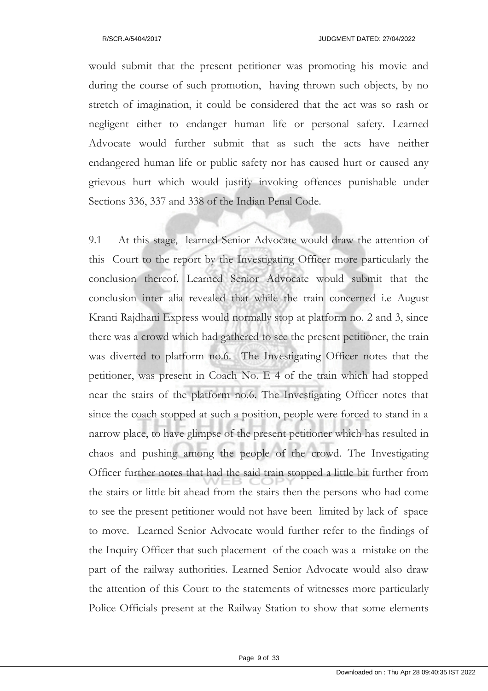would submit that the present petitioner was promoting his movie and during the course of such promotion, having thrown such objects, by no stretch of imagination, it could be considered that the act was so rash or negligent either to endanger human life or personal safety. Learned Advocate would further submit that as such the acts have neither endangered human life or public safety nor has caused hurt or caused any grievous hurt which would justify invoking offences punishable under Sections 336, 337 and 338 of the Indian Penal Code.

9.1 At this stage, learned Senior Advocate would draw the attention of this Court to the report by the Investigating Officer more particularly the conclusion thereof. Learned Senior Advocate would submit that the conclusion inter alia revealed that while the train concerned i.e August Kranti Rajdhani Express would normally stop at platform no. 2 and 3, since there was a crowd which had gathered to see the present petitioner, the train was diverted to platform no.6. The Investigating Officer notes that the petitioner, was present in Coach No. E 4 of the train which had stopped near the stairs of the platform no.6. The Investigating Officer notes that since the coach stopped at such a position, people were forced to stand in a narrow place, to have glimpse of the present petitioner which has resulted in chaos and pushing among the people of the crowd. The Investigating Officer further notes that had the said train stopped a little bit further from the stairs or little bit ahead from the stairs then the persons who had come to see the present petitioner would not have been limited by lack of space to move. Learned Senior Advocate would further refer to the findings of the Inquiry Officer that such placement of the coach was a mistake on the part of the railway authorities. Learned Senior Advocate would also draw the attention of this Court to the statements of witnesses more particularly Police Officials present at the Railway Station to show that some elements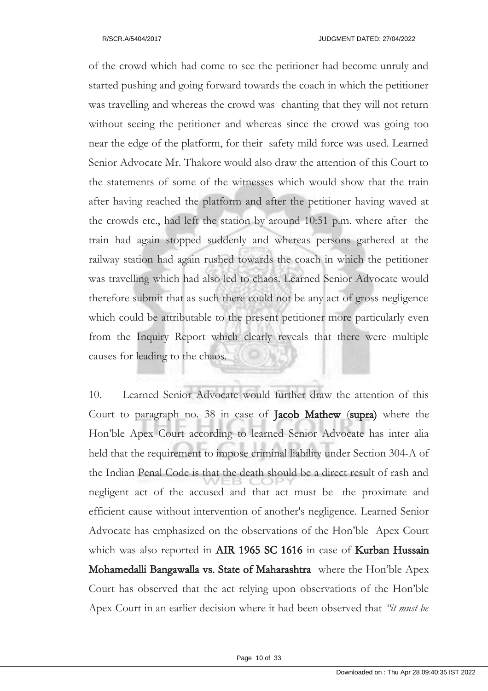of the crowd which had come to see the petitioner had become unruly and started pushing and going forward towards the coach in which the petitioner was travelling and whereas the crowd was chanting that they will not return without seeing the petitioner and whereas since the crowd was going too near the edge of the platform, for their safety mild force was used. Learned Senior Advocate Mr. Thakore would also draw the attention of this Court to the statements of some of the witnesses which would show that the train after having reached the platform and after the petitioner having waved at the crowds etc., had left the station by around 10:51 p.m. where after the train had again stopped suddenly and whereas persons gathered at the railway station had again rushed towards the coach in which the petitioner was travelling which had also led to chaos. Learned Senior Advocate would therefore submit that as such there could not be any act of gross negligence which could be attributable to the present petitioner more particularly even from the Inquiry Report which clearly reveals that there were multiple causes for leading to the chaos.

10. Learned Senior Advocate would further draw the attention of this Court to paragraph no. 38 in case of Jacob Mathew (supra) where the Hon'ble Apex Court according to learned Senior Advocate has inter alia held that the requirement to impose criminal liability under Section 304-A of the Indian Penal Code is that the death should be a direct result of rash and negligent act of the accused and that act must be the proximate and efficient cause without intervention of another's negligence. Learned Senior Advocate has emphasized on the observations of the Hon'ble Apex Court which was also reported in AIR 1965 SC 1616 in case of Kurban Hussain Mohamedalli Bangawalla vs. State of Maharashtra where the Hon'ble Apex Court has observed that the act relying upon observations of the Hon'ble Apex Court in an earlier decision where it had been observed that *"it must be*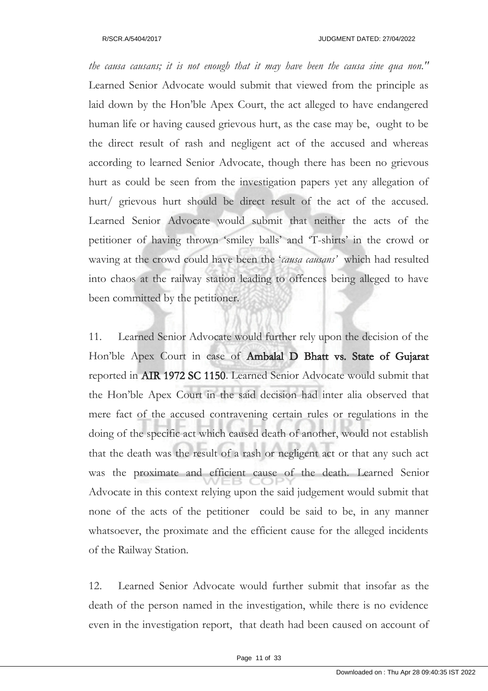*the causa causans; it is not enough that it may have been the causa sine qua non."* Learned Senior Advocate would submit that viewed from the principle as laid down by the Hon'ble Apex Court, the act alleged to have endangered human life or having caused grievous hurt, as the case may be, ought to be the direct result of rash and negligent act of the accused and whereas according to learned Senior Advocate, though there has been no grievous hurt as could be seen from the investigation papers yet any allegation of hurt/ grievous hurt should be direct result of the act of the accused. Learned Senior Advocate would submit that neither the acts of the petitioner of having thrown 'smiley balls' and 'T-shirts' in the crowd or waving at the crowd could have been the '*causa causans'* which had resulted into chaos at the railway station leading to offences being alleged to have been committed by the petitioner.

11. Learned Senior Advocate would further rely upon the decision of the Hon'ble Apex Court in case of Ambalal D Bhatt vs. State of Gujarat reported in AIR 1972 SC 1150. Learned Senior Advocate would submit that the Hon'ble Apex Court in the said decision had inter alia observed that mere fact of the accused contravening certain rules or regulations in the doing of the specific act which caused death of another, would not establish that the death was the result of a rash or negligent act or that any such act was the proximate and efficient cause of the death. Learned Senior Advocate in this context relying upon the said judgement would submit that none of the acts of the petitioner could be said to be, in any manner whatsoever, the proximate and the efficient cause for the alleged incidents of the Railway Station.

12. Learned Senior Advocate would further submit that insofar as the death of the person named in the investigation, while there is no evidence even in the investigation report, that death had been caused on account of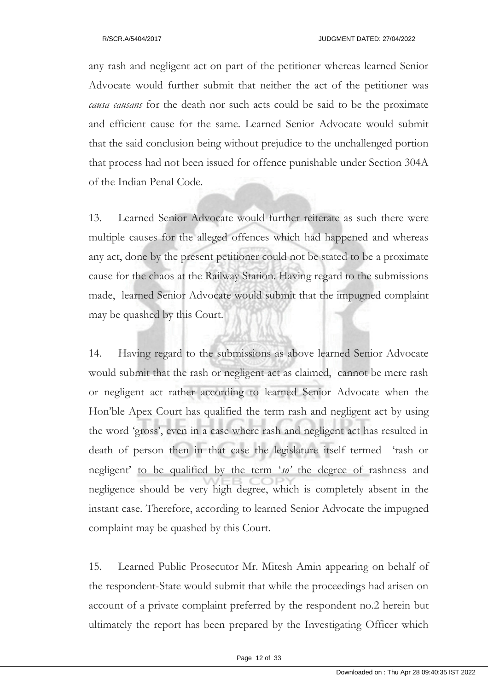any rash and negligent act on part of the petitioner whereas learned Senior Advocate would further submit that neither the act of the petitioner was *causa causans* for the death nor such acts could be said to be the proximate and efficient cause for the same. Learned Senior Advocate would submit that the said conclusion being without prejudice to the unchallenged portion that process had not been issued for offence punishable under Section 304A of the Indian Penal Code.

13. Learned Senior Advocate would further reiterate as such there were multiple causes for the alleged offences which had happened and whereas any act, done by the present petitioner could not be stated to be a proximate cause for the chaos at the Railway Station. Having regard to the submissions made, learned Senior Advocate would submit that the impugned complaint may be quashed by this Court.

14. Having regard to the submissions as above learned Senior Advocate would submit that the rash or negligent act as claimed, cannot be mere rash or negligent act rather according to learned Senior Advocate when the Hon'ble Apex Court has qualified the term rash and negligent act by using the word 'gross', even in a case where rash and negligent act has resulted in death of person then in that case the legislature itself termed 'rash or negligent' to be qualified by the term '*so'* the degree of rashness and negligence should be very high degree, which is completely absent in the instant case. Therefore, according to learned Senior Advocate the impugned complaint may be quashed by this Court.

15. Learned Public Prosecutor Mr. Mitesh Amin appearing on behalf of the respondent-State would submit that while the proceedings had arisen on account of a private complaint preferred by the respondent no.2 herein but ultimately the report has been prepared by the Investigating Officer which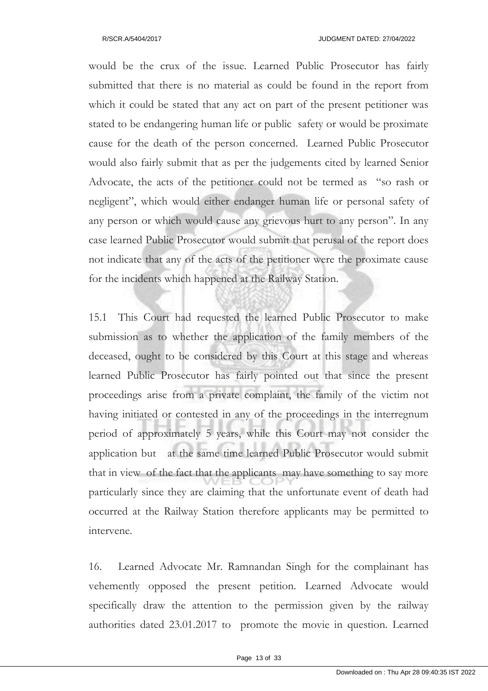would be the crux of the issue. Learned Public Prosecutor has fairly submitted that there is no material as could be found in the report from which it could be stated that any act on part of the present petitioner was stated to be endangering human life or public safety or would be proximate cause for the death of the person concerned. Learned Public Prosecutor would also fairly submit that as per the judgements cited by learned Senior Advocate, the acts of the petitioner could not be termed as "so rash or negligent", which would either endanger human life or personal safety of any person or which would cause any grievous hurt to any person". In any case learned Public Prosecutor would submit that perusal of the report does not indicate that any of the acts of the petitioner were the proximate cause for the incidents which happened at the Railway Station.

15.1 This Court had requested the learned Public Prosecutor to make submission as to whether the application of the family members of the deceased, ought to be considered by this Court at this stage and whereas learned Public Prosecutor has fairly pointed out that since the present proceedings arise from a private complaint, the family of the victim not having initiated or contested in any of the proceedings in the interregnum period of approximately 5 years, while this Court may not consider the application but at the same time learned Public Prosecutor would submit that in view of the fact that the applicants may have something to say more particularly since they are claiming that the unfortunate event of death had occurred at the Railway Station therefore applicants may be permitted to intervene.

16. Learned Advocate Mr. Ramnandan Singh for the complainant has vehemently opposed the present petition. Learned Advocate would specifically draw the attention to the permission given by the railway authorities dated 23.01.2017 to promote the movie in question. Learned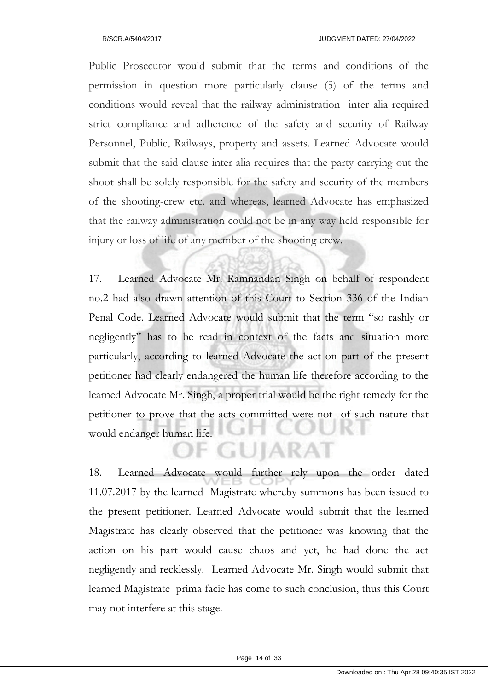Public Prosecutor would submit that the terms and conditions of the permission in question more particularly clause (5) of the terms and conditions would reveal that the railway administration inter alia required strict compliance and adherence of the safety and security of Railway Personnel, Public, Railways, property and assets. Learned Advocate would submit that the said clause inter alia requires that the party carrying out the shoot shall be solely responsible for the safety and security of the members of the shooting-crew etc. and whereas, learned Advocate has emphasized that the railway administration could not be in any way held responsible for injury or loss of life of any member of the shooting crew.

17. Learned Advocate Mr. Ramnandan Singh on behalf of respondent no.2 had also drawn attention of this Court to Section 336 of the Indian Penal Code. Learned Advocate would submit that the term "so rashly or negligently" has to be read in context of the facts and situation more particularly, according to learned Advocate the act on part of the present petitioner had clearly endangered the human life therefore according to the learned Advocate Mr. Singh, a proper trial would be the right remedy for the petitioner to prove that the acts committed were not of such nature that would endanger human life.

18. Learned Advocate would further rely upon the order dated 11.07.2017 by the learned Magistrate whereby summons has been issued to the present petitioner. Learned Advocate would submit that the learned Magistrate has clearly observed that the petitioner was knowing that the action on his part would cause chaos and yet, he had done the act negligently and recklessly. Learned Advocate Mr. Singh would submit that learned Magistrate prima facie has come to such conclusion, thus this Court may not interfere at this stage.

**F GUIARAT**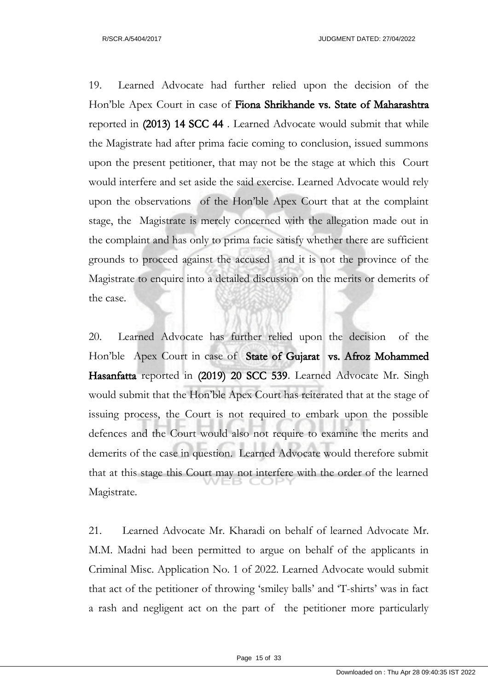19. Learned Advocate had further relied upon the decision of the Hon'ble Apex Court in case of Fiona Shrikhande vs. State of Maharashtra reported in (2013) 14 SCC 44 . Learned Advocate would submit that while the Magistrate had after prima facie coming to conclusion, issued summons upon the present petitioner, that may not be the stage at which this Court would interfere and set aside the said exercise. Learned Advocate would rely upon the observations of the Hon'ble Apex Court that at the complaint stage, the Magistrate is merely concerned with the allegation made out in the complaint and has only to prima facie satisfy whether there are sufficient grounds to proceed against the accused and it is not the province of the Magistrate to enquire into a detailed discussion on the merits or demerits of the case.

20. Learned Advocate has further relied upon the decision of the Hon'ble Apex Court in case of State of Gujarat vs. Afroz Mohammed Hasanfatta reported in (2019) 20 SCC 539. Learned Advocate Mr. Singh would submit that the Hon'ble Apex Court has reiterated that at the stage of issuing process, the Court is not required to embark upon the possible defences and the Court would also not require to examine the merits and demerits of the case in question. Learned Advocate would therefore submit that at this stage this Court may not interfere with the order of the learned Magistrate.

21. Learned Advocate Mr. Kharadi on behalf of learned Advocate Mr. M.M. Madni had been permitted to argue on behalf of the applicants in Criminal Misc. Application No. 1 of 2022. Learned Advocate would submit that act of the petitioner of throwing 'smiley balls' and 'T-shirts' was in fact a rash and negligent act on the part of the petitioner more particularly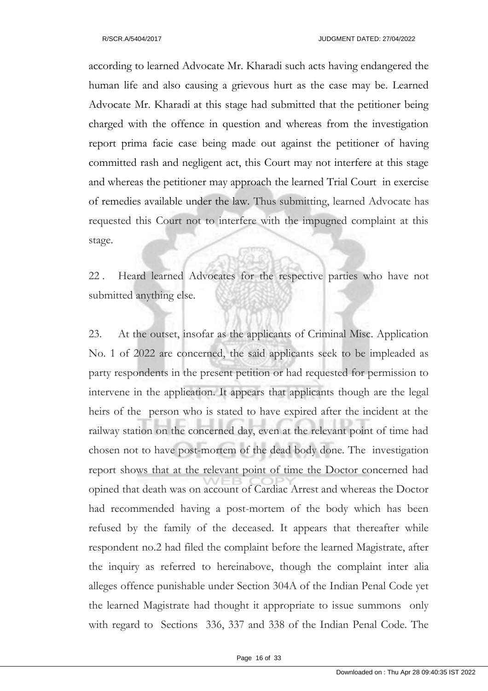according to learned Advocate Mr. Kharadi such acts having endangered the human life and also causing a grievous hurt as the case may be. Learned Advocate Mr. Kharadi at this stage had submitted that the petitioner being charged with the offence in question and whereas from the investigation report prima facie case being made out against the petitioner of having committed rash and negligent act, this Court may not interfere at this stage and whereas the petitioner may approach the learned Trial Court in exercise of remedies available under the law. Thus submitting, learned Advocate has requested this Court not to interfere with the impugned complaint at this stage.

22 . Heard learned Advocates for the respective parties who have not submitted anything else.

23. At the outset, insofar as the applicants of Criminal Misc. Application No. 1 of 2022 are concerned, the said applicants seek to be impleaded as party respondents in the present petition or had requested for permission to intervene in the application. It appears that applicants though are the legal heirs of the person who is stated to have expired after the incident at the railway station on the concerned day, even at the relevant point of time had chosen not to have post-mortem of the dead body done. The investigation report shows that at the relevant point of time the Doctor concerned had opined that death was on account of Cardiac Arrest and whereas the Doctor had recommended having a post-mortem of the body which has been refused by the family of the deceased. It appears that thereafter while respondent no.2 had filed the complaint before the learned Magistrate, after the inquiry as referred to hereinabove, though the complaint inter alia alleges offence punishable under Section 304A of the Indian Penal Code yet the learned Magistrate had thought it appropriate to issue summons only with regard to Sections 336, 337 and 338 of the Indian Penal Code. The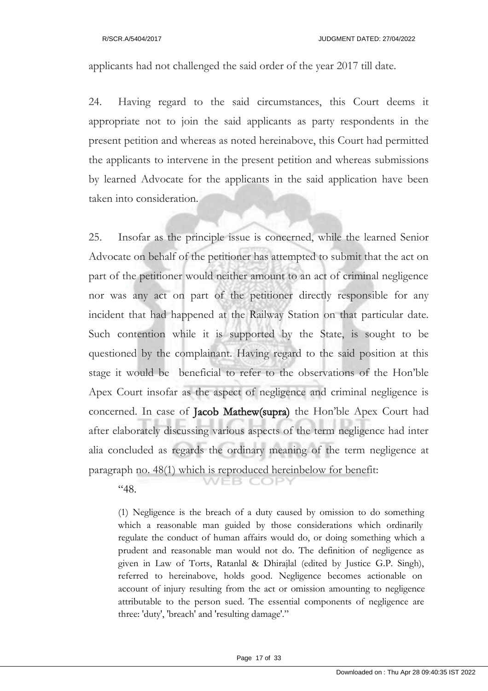applicants had not challenged the said order of the year 2017 till date.

24. Having regard to the said circumstances, this Court deems it appropriate not to join the said applicants as party respondents in the present petition and whereas as noted hereinabove, this Court had permitted the applicants to intervene in the present petition and whereas submissions by learned Advocate for the applicants in the said application have been taken into consideration.

25. Insofar as the principle issue is concerned, while the learned Senior Advocate on behalf of the petitioner has attempted to submit that the act on part of the petitioner would neither amount to an act of criminal negligence nor was any act on part of the petitioner directly responsible for any incident that had happened at the Railway Station on that particular date. Such contention while it is supported by the State, is sought to be questioned by the complainant. Having regard to the said position at this stage it would be beneficial to refer to the observations of the Hon'ble Apex Court insofar as the aspect of negligence and criminal negligence is concerned. In case of Jacob Mathew(supra) the Hon'ble Apex Court had after elaborately discussing various aspects of the term negligence had inter alia concluded as regards the ordinary meaning of the term negligence at paragraph no. 48(1) which is reproduced hereinbelow for benefit:

 $48.$ 

(1) Negligence is the breach of a duty caused by omission to do something which a reasonable man guided by those considerations which ordinarily regulate the conduct of human affairs would do, or doing something which a prudent and reasonable man would not do. The definition of negligence as given in Law of Torts, Ratanlal & Dhirajlal (edited by Justice G.P. Singh), referred to hereinabove, holds good. Negligence becomes actionable on account of injury resulting from the act or omission amounting to negligence attributable to the person sued. The essential components of negligence are three: 'duty', 'breach' and 'resulting damage'."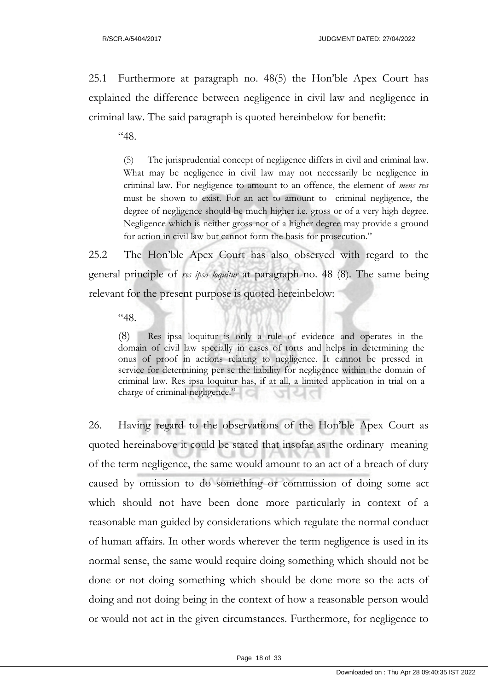25.1 Furthermore at paragraph no. 48(5) the Hon'ble Apex Court has explained the difference between negligence in civil law and negligence in criminal law. The said paragraph is quoted hereinbelow for benefit:

"48.

(5) The jurisprudential concept of negligence differs in civil and criminal law. What may be negligence in civil law may not necessarily be negligence in criminal law. For negligence to amount to an offence, the element of *mens rea* must be shown to exist. For an act to amount to criminal negligence, the degree of negligence should be much higher i.e. gross or of a very high degree. Negligence which is neither gross nor of a higher degree may provide a ground for action in civil law but cannot form the basis for prosecution."

25.2 The Hon'ble Apex Court has also observed with regard to the general principle of *res ipsa loquitur* at paragraph no. 48 (8). The same being relevant for the present purpose is quoted hereinbelow:

"48.

(8) Res ipsa loquitur is only a rule of evidence and operates in the domain of civil law specially in cases of torts and helps in determining the onus of proof in actions relating to negligence. It cannot be pressed in service for determining per se the liability for negligence within the domain of criminal law. Res ipsa loquitur has, if at all, a limited application in trial on a charge of criminal negligence."

26. Having regard to the observations of the Hon'ble Apex Court as quoted hereinabove it could be stated that insofar as the ordinary meaning of the term negligence, the same would amount to an act of a breach of duty caused by omission to do something or commission of doing some act which should not have been done more particularly in context of a reasonable man guided by considerations which regulate the normal conduct of human affairs. In other words wherever the term negligence is used in its normal sense, the same would require doing something which should not be done or not doing something which should be done more so the acts of doing and not doing being in the context of how a reasonable person would or would not act in the given circumstances. Furthermore, for negligence to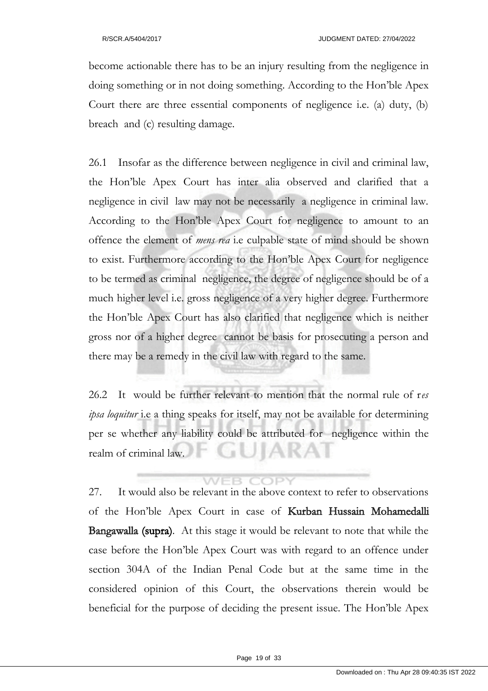become actionable there has to be an injury resulting from the negligence in doing something or in not doing something. According to the Hon'ble Apex Court there are three essential components of negligence i.e. (a) duty, (b) breach and (c) resulting damage.

26.1 Insofar as the difference between negligence in civil and criminal law, the Hon'ble Apex Court has inter alia observed and clarified that a negligence in civil law may not be necessarily a negligence in criminal law. According to the Hon'ble Apex Court for negligence to amount to an offence the element of *mens rea* i.e culpable state of mind should be shown to exist. Furthermore according to the Hon'ble Apex Court for negligence to be termed as criminal negligence, the degree of negligence should be of a much higher level i.e. gross negligence of a very higher degree. Furthermore the Hon'ble Apex Court has also clarified that negligence which is neither gross nor of a higher degree cannot be basis for prosecuting a person and there may be a remedy in the civil law with regard to the same.

26.2 It would be further relevant to mention that the normal rule of r*es ipsa loquitur* i.e a thing speaks for itself, may not be available for determining per se whether any liability could be attributed for negligence within the realm of criminal law.

**WEB COPY** 

27. It would also be relevant in the above context to refer to observations of the Hon'ble Apex Court in case of Kurban Hussain Mohamedalli Bangawalla (supra). At this stage it would be relevant to note that while the case before the Hon'ble Apex Court was with regard to an offence under section 304A of the Indian Penal Code but at the same time in the considered opinion of this Court, the observations therein would be beneficial for the purpose of deciding the present issue. The Hon'ble Apex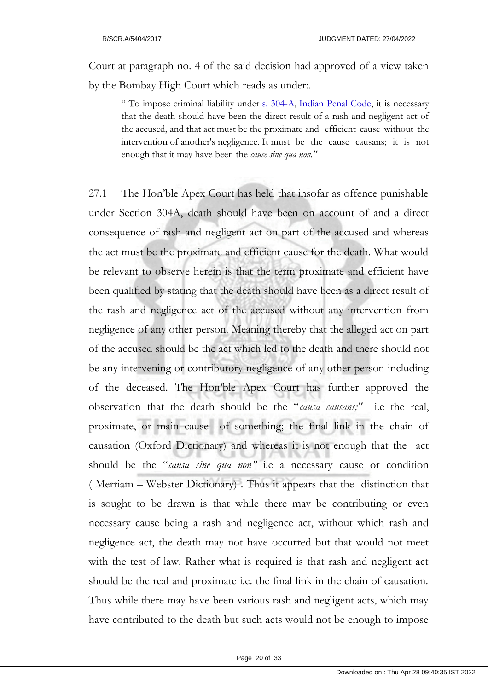Court at paragraph no. 4 of the said decision had approved of a view taken by the Bombay High Court which reads as under:.

" To impose criminal liability under s. 304-A, Indian Penal Code, it is necessary that the death should have been the direct result of a rash and negligent act of the accused, and that act must be the proximate and efficient cause without the intervention of another's negligence. It must be the cause causans; it is not enough that it may have been the *cause sine qua non."*

27.1 The Hon'ble Apex Court has held that insofar as offence punishable under Section 304A, death should have been on account of and a direct consequence of rash and negligent act on part of the accused and whereas the act must be the proximate and efficient cause for the death. What would be relevant to observe herein is that the term proximate and efficient have been qualified by stating that the death should have been as a direct result of the rash and negligence act of the accused without any intervention from negligence of any other person. Meaning thereby that the alleged act on part of the accused should be the act which led to the death and there should not be any intervening or contributory negligence of any other person including of the deceased. The Hon'ble Apex Court has further approved the observation that the death should be the "*causa causans;"* i.e the real, proximate, or main cause of something; the final link in the chain of causation (Oxford Dictionary) and whereas it is not enough that the act should be the "*causa sine qua non"* i.e a necessary cause or condition ( Merriam – Webster Dictionary) . Thus it appears that the distinction that is sought to be drawn is that while there may be contributing or even necessary cause being a rash and negligence act, without which rash and negligence act, the death may not have occurred but that would not meet with the test of law. Rather what is required is that rash and negligent act should be the real and proximate i.e. the final link in the chain of causation. Thus while there may have been various rash and negligent acts, which may have contributed to the death but such acts would not be enough to impose

Page 20 of 33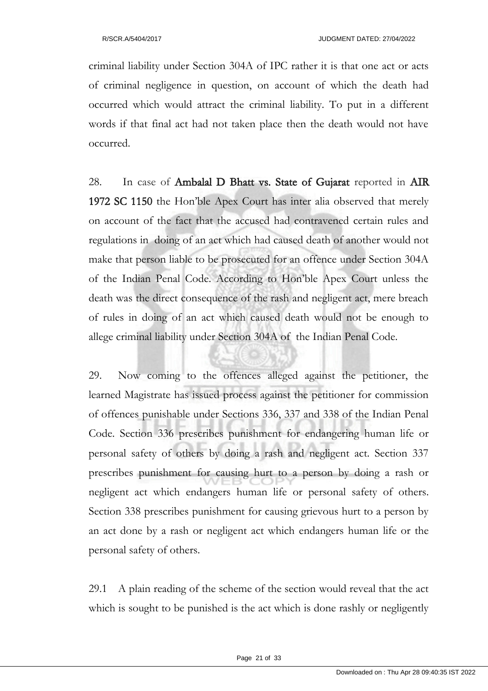criminal liability under Section 304A of IPC rather it is that one act or acts of criminal negligence in question, on account of which the death had occurred which would attract the criminal liability. To put in a different words if that final act had not taken place then the death would not have occurred.

28. In case of Ambalal D Bhatt vs. State of Gujarat reported in AIR 1972 SC 1150 the Hon'ble Apex Court has inter alia observed that merely on account of the fact that the accused had contravened certain rules and regulations in doing of an act which had caused death of another would not make that person liable to be prosecuted for an offence under Section 304A of the Indian Penal Code. According to Hon'ble Apex Court unless the death was the direct consequence of the rash and negligent act, mere breach of rules in doing of an act which caused death would not be enough to allege criminal liability under Section 304A of the Indian Penal Code.

29. Now coming to the offences alleged against the petitioner, the learned Magistrate has issued process against the petitioner for commission of offences punishable under Sections 336, 337 and 338 of the Indian Penal Code. Section 336 prescribes punishment for endangering human life or personal safety of others by doing a rash and negligent act. Section 337 prescribes punishment for causing hurt to a person by doing a rash or negligent act which endangers human life or personal safety of others. Section 338 prescribes punishment for causing grievous hurt to a person by an act done by a rash or negligent act which endangers human life or the personal safety of others.

29.1 A plain reading of the scheme of the section would reveal that the act which is sought to be punished is the act which is done rashly or negligently

Page 21 of 33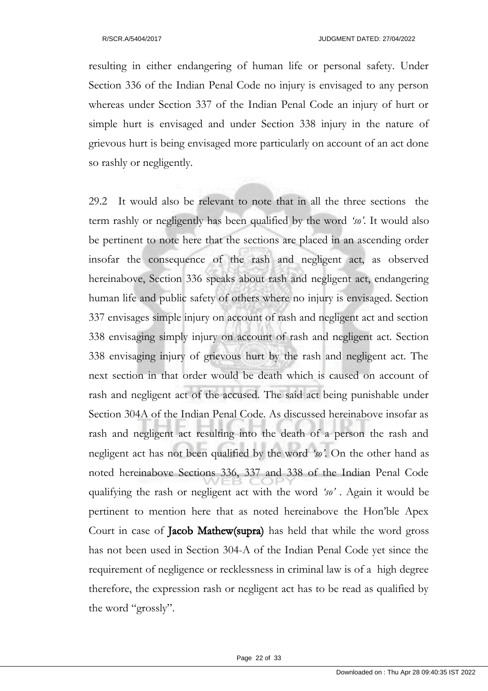resulting in either endangering of human life or personal safety. Under Section 336 of the Indian Penal Code no injury is envisaged to any person whereas under Section 337 of the Indian Penal Code an injury of hurt or simple hurt is envisaged and under Section 338 injury in the nature of grievous hurt is being envisaged more particularly on account of an act done so rashly or negligently.

29.2 It would also be relevant to note that in all the three sections the term rashly or negligently has been qualified by the word *'so'*. It would also be pertinent to note here that the sections are placed in an ascending order insofar the consequence of the rash and negligent act, as observed hereinabove, Section 336 speaks about rash and negligent act, endangering human life and public safety of others where no injury is envisaged. Section 337 envisages simple injury on account of rash and negligent act and section 338 envisaging simply injury on account of rash and negligent act. Section 338 envisaging injury of grievous hurt by the rash and negligent act. The next section in that order would be death which is caused on account of rash and negligent act of the accused. The said act being punishable under Section 304A of the Indian Penal Code. As discussed hereinabove insofar as rash and negligent act resulting into the death of a person the rash and negligent act has not been qualified by the word *'so'*. On the other hand as noted hereinabove Sections 336, 337 and 338 of the Indian Penal Code qualifying the rash or negligent act with the word *'so'* . Again it would be pertinent to mention here that as noted hereinabove the Hon'ble Apex Court in case of Jacob Mathew(supra) has held that while the word gross has not been used in Section 304-A of the Indian Penal Code yet since the requirement of negligence or recklessness in criminal law is of a high degree therefore, the expression rash or negligent act has to be read as qualified by the word "grossly".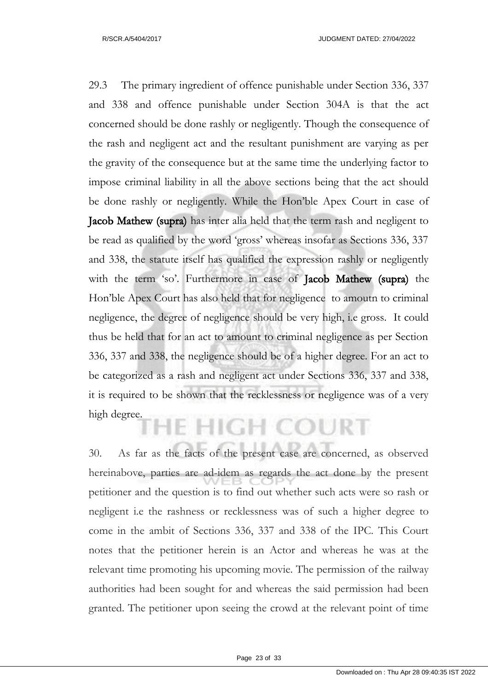29.3 The primary ingredient of offence punishable under Section 336, 337 and 338 and offence punishable under Section 304A is that the act concerned should be done rashly or negligently. Though the consequence of the rash and negligent act and the resultant punishment are varying as per the gravity of the consequence but at the same time the underlying factor to impose criminal liability in all the above sections being that the act should be done rashly or negligently. While the Hon'ble Apex Court in case of Jacob Mathew (supra) has inter alia held that the term rash and negligent to be read as qualified by the word 'gross' whereas insofar as Sections 336, 337 and 338, the statute itself has qualified the expression rashly or negligently with the term 'so'. Furthermore in case of Jacob Mathew (supra) the Hon'ble Apex Court has also held that for negligence to amoutn to criminal negligence, the degree of negligence should be very high, i.e gross. It could thus be held that for an act to amount to criminal negligence as per Section 336, 337 and 338, the negligence should be of a higher degree. For an act to be categorized as a rash and negligent act under Sections 336, 337 and 338, it is required to be shown that the recklessness or negligence was of a very high degree.

# **HE HIGH COURT**

30. As far as the facts of the present case are concerned, as observed hereinabove, parties are ad-idem as regards the act done by the present petitioner and the question is to find out whether such acts were so rash or negligent i.e the rashness or recklessness was of such a higher degree to come in the ambit of Sections 336, 337 and 338 of the IPC. This Court notes that the petitioner herein is an Actor and whereas he was at the relevant time promoting his upcoming movie. The permission of the railway authorities had been sought for and whereas the said permission had been granted. The petitioner upon seeing the crowd at the relevant point of time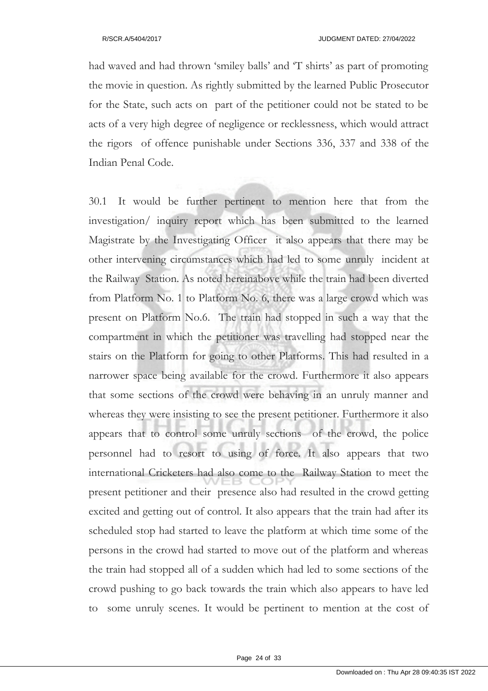had waved and had thrown 'smiley balls' and 'T shirts' as part of promoting the movie in question. As rightly submitted by the learned Public Prosecutor for the State, such acts on part of the petitioner could not be stated to be acts of a very high degree of negligence or recklessness, which would attract the rigors of offence punishable under Sections 336, 337 and 338 of the Indian Penal Code.

30.1 It would be further pertinent to mention here that from the investigation/ inquiry report which has been submitted to the learned Magistrate by the Investigating Officer it also appears that there may be other intervening circumstances which had led to some unruly incident at the Railway Station. As noted hereinabove while the train had been diverted from Platform No. 1 to Platform No. 6, there was a large crowd which was present on Platform No.6. The train had stopped in such a way that the compartment in which the petitioner was travelling had stopped near the stairs on the Platform for going to other Platforms. This had resulted in a narrower space being available for the crowd. Furthermore it also appears that some sections of the crowd were behaving in an unruly manner and whereas they were insisting to see the present petitioner. Furthermore it also appears that to control some unruly sections of the crowd, the police personnel had to resort to using of force. It also appears that two international Cricketers had also come to the Railway Station to meet the present petitioner and their presence also had resulted in the crowd getting excited and getting out of control. It also appears that the train had after its scheduled stop had started to leave the platform at which time some of the persons in the crowd had started to move out of the platform and whereas the train had stopped all of a sudden which had led to some sections of the crowd pushing to go back towards the train which also appears to have led to some unruly scenes. It would be pertinent to mention at the cost of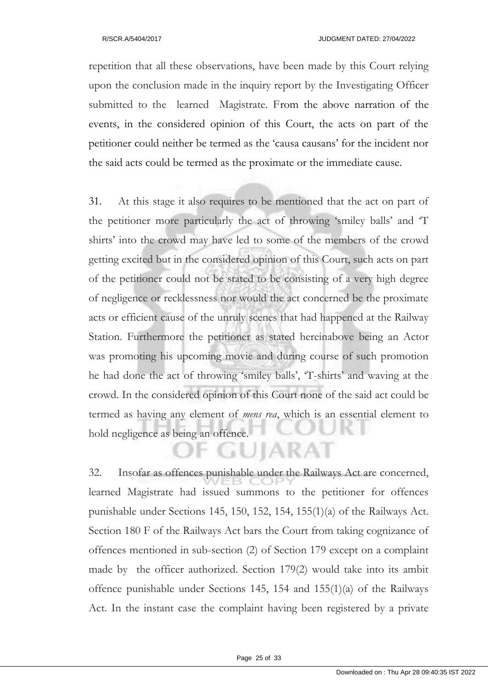repetition that all these observations, have been made by this Court relying upon the conclusion made in the inquiry report by the Investigating Officer submitted to the learned Magistrate. From the above narration of the events, in the considered opinion of this Court, the acts on part of the petitioner could neither be termed as the 'causa causans' for the incident nor the said acts could be termed as the proximate or the immediate cause.

31. At this stage it also requires to be mentioned that the act on part of the petitioner more particularly the act of throwing 'smiley balls' and 'T shirts' into the crowd may have led to some of the members of the crowd getting excited but in the considered opinion of this Court, such acts on part of the petitioner could not be stated to be consisting of a very high degree of negligence or recklessness nor would the act concerned be the proximate acts or efficient cause of the unruly scenes that had happened at the Railway Station. Furthermore the petitioner as stated hereinabove being an Actor was promoting his upcoming movie and during course of such promotion he had done the act of throwing 'smiley balls', 'T-shirts' and waving at the crowd. In the considered opinion of this Court none of the said act could be termed as having any element of *mens rea*, which is an essential element to hold negligence as being an offence.

32. Insofar as offences punishable under the Railways Act are concerned, learned Magistrate had issued summons to the petitioner for offences punishable under Sections 145, 150, 152, 154, 155(1)(a) of the Railways Act. Section 180 F of the Railways Act bars the Court from taking cognizance of offences mentioned in sub-section (2) of Section 179 except on a complaint made by the officer authorized. Section 179(2) would take into its ambit offence punishable under Sections 145, 154 and 155(1)(a) of the Railways Act. In the instant case the complaint having been registered by a private

**GUJARAT**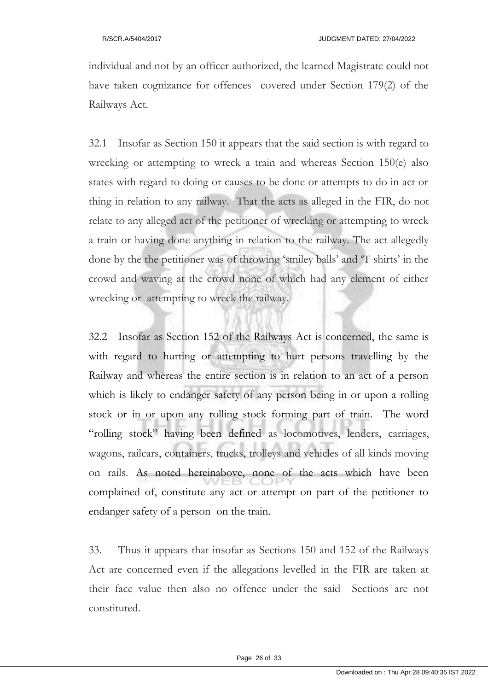individual and not by an officer authorized, the learned Magistrate could not have taken cognizance for offences covered under Section 179(2) of the Railways Act.

32.1 Insofar as Section 150 it appears that the said section is with regard to wrecking or attempting to wreck a train and whereas Section 150(e) also states with regard to doing or causes to be done or attempts to do in act or thing in relation to any railway. That the acts as alleged in the FIR, do not relate to any alleged act of the petitioner of wrecking or attempting to wreck a train or having done anything in relation to the railway. The act allegedly done by the the petitioner was of throwing 'smiley balls' and 'T shirts' in the crowd and waving at the crowd none of which had any element of either wrecking or attempting to wreck the railway.

32.2 Insofar as Section 152 of the Railways Act is concerned, the same is with regard to hurting or attempting to hurt persons travelling by the Railway and whereas the entire section is in relation to an act of a person which is likely to endanger safety of any person being in or upon a rolling stock or in or upon any rolling stock forming part of train. The word "rolling stock" having been defined as locomotives, lenders, carriages, wagons, railcars, containers, trucks, trolleys and vehicles of all kinds moving on rails. As noted hereinabove, none of the acts which have been complained of, constitute any act or attempt on part of the petitioner to endanger safety of a person on the train.

33. Thus it appears that insofar as Sections 150 and 152 of the Railways Act are concerned even if the allegations levelled in the FIR are taken at their face value then also no offence under the said Sections are not constituted.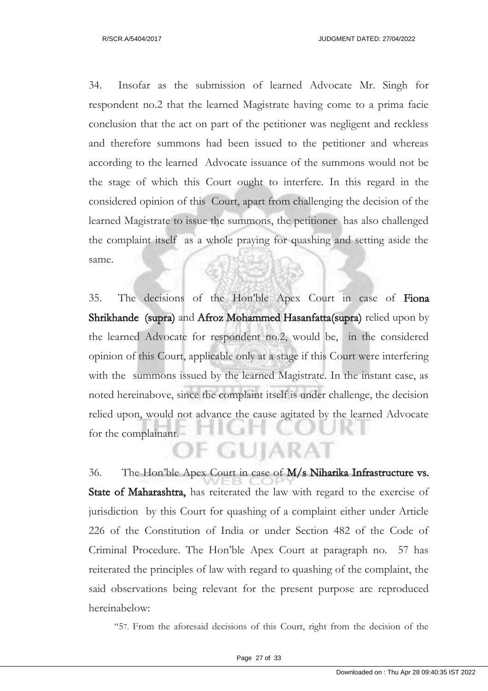34. Insofar as the submission of learned Advocate Mr. Singh for respondent no.2 that the learned Magistrate having come to a prima facie conclusion that the act on part of the petitioner was negligent and reckless and therefore summons had been issued to the petitioner and whereas according to the learned Advocate issuance of the summons would not be the stage of which this Court ought to interfere. In this regard in the considered opinion of this Court, apart from challenging the decision of the learned Magistrate to issue the summons, the petitioner has also challenged the complaint itself as a whole praying for quashing and setting aside the same.

35. The decisions of the Hon'ble Apex Court in case of Fiona Shrikhande (supra) and Afroz Mohammed Hasanfatta(supra) relied upon by the learned Advocate for respondent no.2, would be, in the considered opinion of this Court, applicable only at a stage if this Court were interfering with the summons issued by the learned Magistrate. In the instant case, as noted hereinabove, since the complaint itself is under challenge, the decision relied upon, would not advance the cause agitated by the learned Advocate for the complainant. F GUJARAT

36. The Hon'ble Apex Court in case of M/s Niharika Infrastructure vs. State of Maharashtra, has reiterated the law with regard to the exercise of jurisdiction by this Court for quashing of a complaint either under Article 226 of the Constitution of India or under Section 482 of the Code of Criminal Procedure. The Hon'ble Apex Court at paragraph no. 57 has reiterated the principles of law with regard to quashing of the complaint, the said observations being relevant for the present purpose are reproduced hereinabelow:

"57. From the aforesaid decisions of this Court, right from the decision of the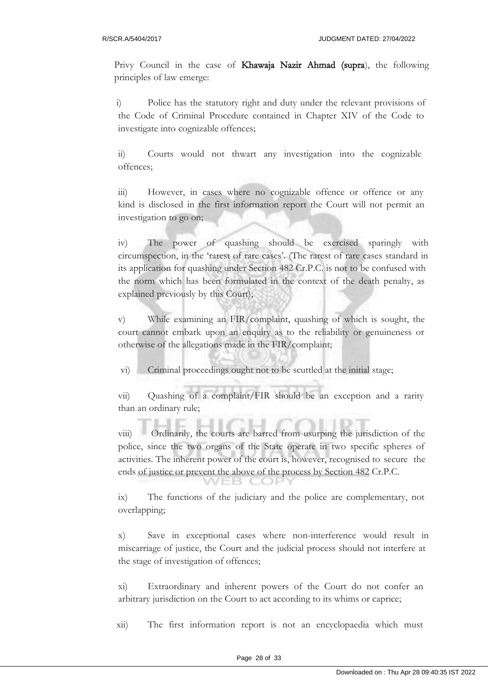Privy Council in the case of Khawaja Nazir Ahmad (supra), the following principles of law emerge:

i) Police has the statutory right and duty under the relevant provisions of the Code of Criminal Procedure contained in Chapter XIV of the Code to investigate into cognizable offences;

ii) Courts would not thwart any investigation into the cognizable offences;

iii) However, in cases where no cognizable offence or offence or any kind is disclosed in the first information report the Court will not permit an investigation to go on;

iv) The power of quashing should be exercised sparingly with circumspection, in the 'rarest of rare cases'. (The rarest of rare cases standard in its application for quashing under Section 482 Cr.P.C. is not to be confused with the norm which has been formulated in the context of the death penalty, as explained previously by this Court);

v) While examining an FIR/complaint, quashing of which is sought, the court cannot embark upon an enquiry as to the reliability or genuineness or otherwise of the allegations made in the FIR/complaint;

vi) Criminal proceedings ought not to be scuttled at the initial stage;

vii) Quashing of a complaint/FIR should be an exception and a rarity than an ordinary rule;

viii) Ordinarily, the courts are barred from usurping the jurisdiction of the police, since the two organs of the State operate in two specific spheres of activities. The inherent power of the court is, however, recognised to secure the ends of justice or prevent the above of the process by Section 482 Cr.P.C.

ix) The functions of the judiciary and the police are complementary, not overlapping;

x) Save in exceptional cases where non-interference would result in miscarriage of justice, the Court and the judicial process should not interfere at the stage of investigation of offences;

xi) Extraordinary and inherent powers of the Court do not confer an arbitrary jurisdiction on the Court to act according to its whims or caprice;

xii) The first information report is not an encyclopaedia which must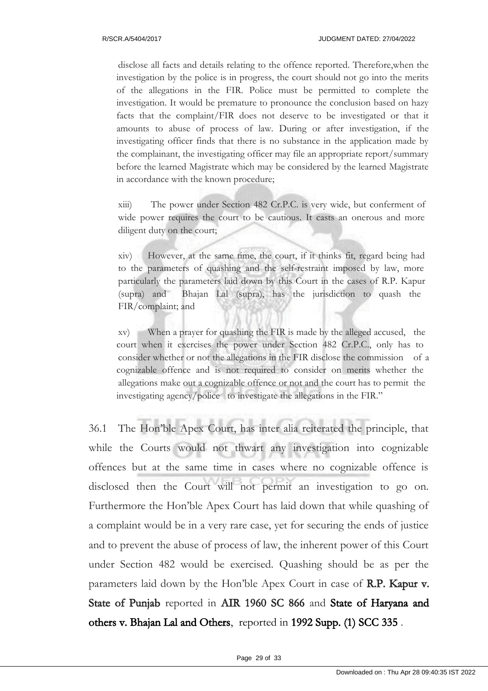disclose all facts and details relating to the offence reported. Therefore,when the investigation by the police is in progress, the court should not go into the merits of the allegations in the FIR. Police must be permitted to complete the investigation. It would be premature to pronounce the conclusion based on hazy facts that the complaint/FIR does not deserve to be investigated or that it amounts to abuse of process of law. During or after investigation, if the investigating officer finds that there is no substance in the application made by the complainant, the investigating officer may file an appropriate report/summary before the learned Magistrate which may be considered by the learned Magistrate in accordance with the known procedure;

xiii) The power under Section 482 Cr.P.C. is very wide, but conferment of wide power requires the court to be cautious. It casts an onerous and more diligent duty on the court;

xiv) However, at the same time, the court, if it thinks fit, regard being had to the parameters of quashing and the self-restraint imposed by law, more particularly the parameters laid down by this Court in the cases of R.P. Kapur (supra) and Bhajan Lal (supra), has the jurisdiction to quash the FIR/complaint; and

xv) When a prayer for quashing the FIR is made by the alleged accused, the court when it exercises the power under Section 482 Cr.P.C., only has to consider whether or not the allegations in the FIR disclose the commission of a cognizable offence and is not required to consider on merits whether the allegations make out a cognizable offence or not and the court has to permit the investigating agency/police to investigate the allegations in the FIR."

36.1 The Hon'ble Apex Court, has inter alia reiterated the principle, that while the Courts would not thwart any investigation into cognizable offences but at the same time in cases where no cognizable offence is disclosed then the Court will not permit an investigation to go on. Furthermore the Hon'ble Apex Court has laid down that while quashing of a complaint would be in a very rare case, yet for securing the ends of justice and to prevent the abuse of process of law, the inherent power of this Court under Section 482 would be exercised. Quashing should be as per the parameters laid down by the Hon'ble Apex Court in case of R.P. Kapur v. State of Punjab reported in AIR 1960 SC 866 and State of Haryana and others v. Bhajan Lal and Others, reported in 1992 Supp. (1) SCC 335 .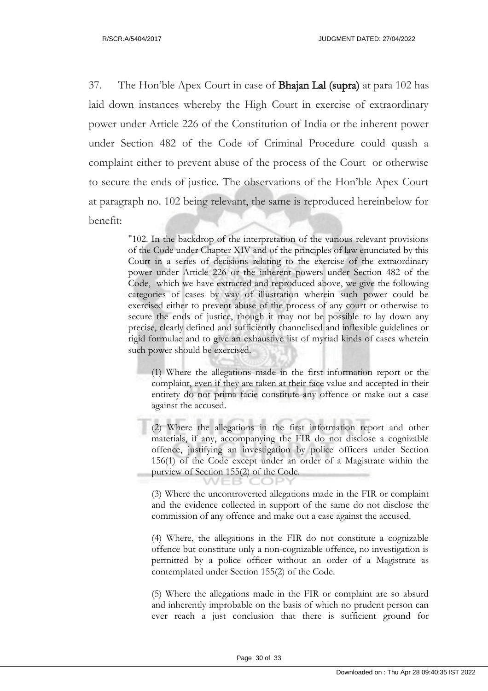37. The Hon'ble Apex Court in case of Bhajan Lal (supra) at para 102 has laid down instances whereby the High Court in exercise of extraordinary power under Article 226 of the Constitution of India or the inherent power under Section 482 of the Code of Criminal Procedure could quash a complaint either to prevent abuse of the process of the Court or otherwise to secure the ends of justice. The observations of the Hon'ble Apex Court at paragraph no. 102 being relevant, the same is reproduced hereinbelow for benefit:

> "102. In the backdrop of the interpretation of the various relevant provisions of the Code under Chapter XIV and of the principles of law enunciated by this Court in a series of decisions relating to the exercise of the extraordinary power under Article 226 or the inherent powers under Section 482 of the Code, which we have extracted and reproduced above, we give the following categories of cases by way of illustration wherein such power could be exercised either to prevent abuse of the process of any court or otherwise to secure the ends of justice, though it may not be possible to lay down any precise, clearly defined and sufficiently channelised and inflexible guidelines or rigid formulae and to give an exhaustive list of myriad kinds of cases wherein such power should be exercised.

(1) Where the allegations made in the first information report or the complaint, even if they are taken at their face value and accepted in their entirety do not prima facie constitute any offence or make out a case against the accused.

(2) Where the allegations in the first information report and other materials, if any, accompanying the FIR do not disclose a cognizable offence, justifying an investigation by police officers under Section 156(1) of the Code except under an order of a Magistrate within the purview of Section 155(2) of the Code.

(3) Where the uncontroverted allegations made in the FIR or complaint and the evidence collected in support of the same do not disclose the commission of any offence and make out a case against the accused.

(4) Where, the allegations in the FIR do not constitute a cognizable offence but constitute only a non-cognizable offence, no investigation is permitted by a police officer without an order of a Magistrate as contemplated under Section 155(2) of the Code.

(5) Where the allegations made in the FIR or complaint are so absurd and inherently improbable on the basis of which no prudent person can ever reach a just conclusion that there is sufficient ground for

Page 30 of 33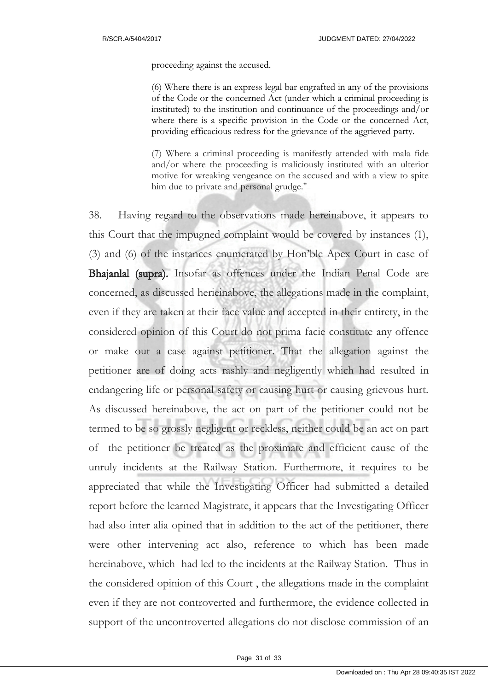proceeding against the accused.

(6) Where there is an express legal bar engrafted in any of the provisions of the Code or the concerned Act (under which a criminal proceeding is instituted) to the institution and continuance of the proceedings and/or where there is a specific provision in the Code or the concerned Act, providing efficacious redress for the grievance of the aggrieved party.

(7) Where a criminal proceeding is manifestly attended with mala fide and/or where the proceeding is maliciously instituted with an ulterior motive for wreaking vengeance on the accused and with a view to spite him due to private and personal grudge."

38. Having regard to the observations made hereinabove, it appears to this Court that the impugned complaint would be covered by instances (1), (3) and (6) of the instances enumerated by Hon'ble Apex Court in case of Bhajanlal (supra). Insofar as offences under the Indian Penal Code are concerned, as discussed herieinabove, the allegations made in the complaint, even if they are taken at their face value and accepted in their entirety, in the considered opinion of this Court do not prima facie constitute any offence or make out a case against petitioner. That the allegation against the petitioner are of doing acts rashly and negligently which had resulted in endangering life or personal safety or causing hurt or causing grievous hurt. As discussed hereinabove, the act on part of the petitioner could not be termed to be so grossly negligent or reckless, neither could be an act on part of the petitioner be treated as the proximate and efficient cause of the unruly incidents at the Railway Station. Furthermore, it requires to be appreciated that while the Investigating Officer had submitted a detailed report before the learned Magistrate, it appears that the Investigating Officer had also inter alia opined that in addition to the act of the petitioner, there were other intervening act also, reference to which has been made hereinabove, which had led to the incidents at the Railway Station. Thus in the considered opinion of this Court , the allegations made in the complaint even if they are not controverted and furthermore, the evidence collected in support of the uncontroverted allegations do not disclose commission of an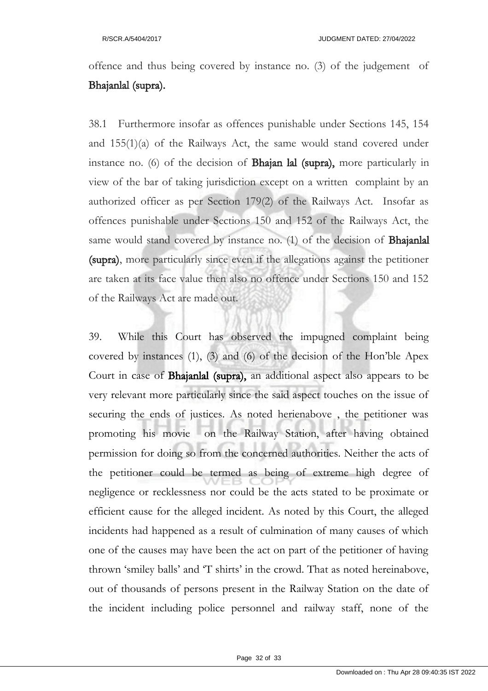offence and thus being covered by instance no. (3) of the judgement of Bhajanlal (supra).

38.1 Furthermore insofar as offences punishable under Sections 145, 154 and 155(1)(a) of the Railways Act, the same would stand covered under instance no. (6) of the decision of Bhajan lal (supra), more particularly in view of the bar of taking jurisdiction except on a written complaint by an authorized officer as per Section 179(2) of the Railways Act. Insofar as offences punishable under Sections 150 and 152 of the Railways Act, the same would stand covered by instance no. (1) of the decision of Bhajanlal (supra), more particularly since even if the allegations against the petitioner are taken at its face value then also no offence under Sections 150 and 152 of the Railways Act are made out.

39. While this Court has observed the impugned complaint being covered by instances (1), (3) and (6) of the decision of the Hon'ble Apex Court in case of Bhajanlal (supra), an additional aspect also appears to be very relevant more particularly since the said aspect touches on the issue of securing the ends of justices. As noted herienabove , the petitioner was promoting his movie on the Railway Station, after having obtained permission for doing so from the concerned authorities. Neither the acts of the petitioner could be termed as being of extreme high degree of negligence or recklessness nor could be the acts stated to be proximate or efficient cause for the alleged incident. As noted by this Court, the alleged incidents had happened as a result of culmination of many causes of which one of the causes may have been the act on part of the petitioner of having thrown 'smiley balls' and 'T shirts' in the crowd. That as noted hereinabove, out of thousands of persons present in the Railway Station on the date of the incident including police personnel and railway staff, none of the